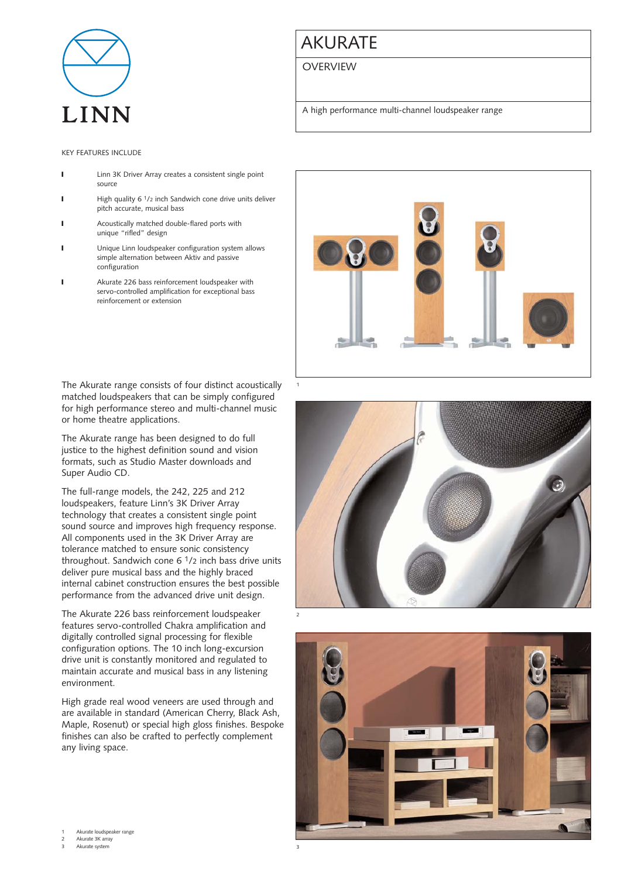

# AKURATE

## **OVERVIEW**

A high performance multi-channel loudspeaker range

## KEY FEATURES INCLUDE

- **I** Linn 3K Driver Array creates a consistent single point source
- **I** High quality 6 <sup>1</sup>/2 inch Sandwich cone drive units deliver pitch accurate, musical bass
- ❙ Acoustically matched double-flared ports with unique "rifled" design
- **I** Unique Linn loudspeaker configuration system allows simple alternation between Aktiv and passive configuration
- ❙ Akurate 226 bass reinforcement loudspeaker with servo-controlled amplification for exceptional bass reinforcement or extension

The Akurate range consists of four distinct acoustically matched loudspeakers that can be simply configured for high performance stereo and multi-channel music or home theatre applications.

The Akurate range has been designed to do full justice to the highest definition sound and vision formats, such as Studio Master downloads and Super Audio CD.

The full-range models, the 242, 225 and 212 loudspeakers, feature Linn's 3K Driver Array technology that creates a consistent single point sound source and improves high frequency response. All components used in the 3K Driver Array are tolerance matched to ensure sonic consistency throughout. Sandwich cone  $6<sup>1</sup>/2$  inch bass drive units deliver pure musical bass and the highly braced internal cabinet construction ensures the best possible performance from the advanced drive unit design.

The Akurate 226 bass reinforcement loudspeaker features servo-controlled Chakra amplification and digitally controlled signal processing for flexible configuration options. The 10 inch long-excursion drive unit is constantly monitored and regulated to maintain accurate and musical bass in any listening environment.

High grade real wood veneers are used through and are available in standard (American Cherry, Black Ash, Maple, Rosenut) or special high gloss finishes. Bespoke finishes can also be crafted to perfectly complement any living space.







Akurate loudspeaker range

2 Akurate 3K array Akurate syste